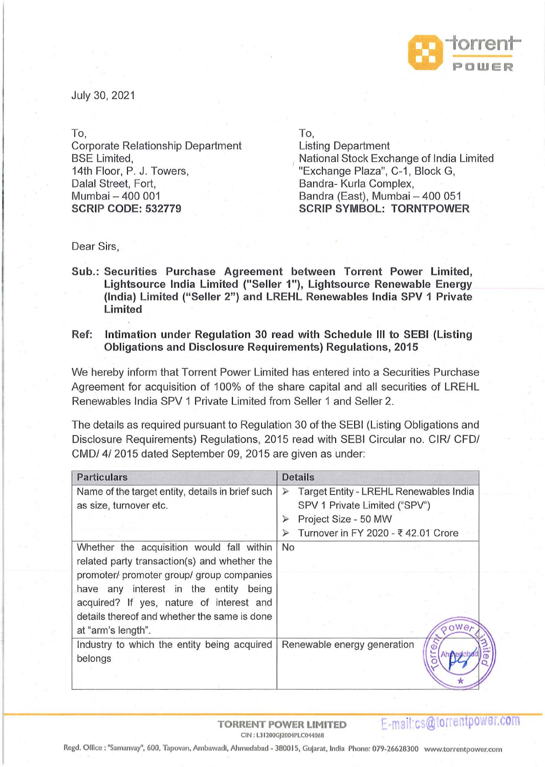

July 30, 2021

To,

Corporate Relationship Department BSE Limited, 14th Floor, P. J. Towers, Dalal Street, Fort, Mumbai - 400 001 **SCRIP CODE: 532779** 

To,

Listing Department National Stock Exchange of India Limited "Exchange Plaza", C-1, Block G, Bandra- Kurla Complex, Bandra (East), Mumbai - 400 051 **SCRIP SYMBOL: TORNTPOWER** 

Dear Sirs,

- **Sub.: Securities Purchase Agreement between Torrent Power Limited, Lightsource India Limited ("Seller 1** "), **Lightsource Renewable Energy (India) Limited ("Seller 2") and LREHL Renewables India SPV 1 Private Limited**
- **Ref: Intimation under Regulation 30 read with Schedule Ill to SEBI (Listing Obligations and Disclosure Requirements) Regulations, 2015**

We hereby inform that Torrent Power Limited has entered into a Securities Purchase Agreement for acquisition of 100% of the share capital and all securities of LREHL Renewables India SPV 1 Private Limited from Seller 1 and Seller 2.

The details as required pursuant to Regulation 30 of the SEBI (Listing Obligations and Disclosure Requirements) Regulations, 2015 read with SEBI Circular no. CIR/ CFO/ CMD/ 4/ 2015 dated September 09, 2015 are given as under:

| <b>Particulars</b>                               | <b>Details</b>                                             |
|--------------------------------------------------|------------------------------------------------------------|
| Name of the target entity, details in brief such | Target Entity - LREHL Renewables India<br>$\triangleright$ |
| as size, turnover etc.                           | SPV 1 Private Limited ("SPV")                              |
|                                                  | Project Size - 50 MW<br>⋗                                  |
|                                                  | Turnover in FY 2020 - ₹ 42.01 Crore<br>$\triangleright$    |
| Whether the acquisition would fall within        | No                                                         |
| related party transaction(s) and whether the     |                                                            |
| promoter/ promoter group/ group companies        |                                                            |
| have any interest in the entity being            |                                                            |
| acquired? If yes, nature of interest and         |                                                            |
| details thereof and whether the same is done     |                                                            |
| at "arm's length".                               | 000e                                                       |
| Industry to which the entity being acquired      | Renewable energy generation                                |
| belongs                                          |                                                            |
|                                                  |                                                            |
|                                                  |                                                            |

**TORRENT POWER LIMITED**  CIN: L31200GJ2004PLC044068

E-mail:cs@torrentpower.com

Regd. Offlce : "Samanvay", 600, Tapovan, Ambawadl, Ahmedabad - 380015, Gujarat, India Phone: 079-26628300 www.torrentpower.com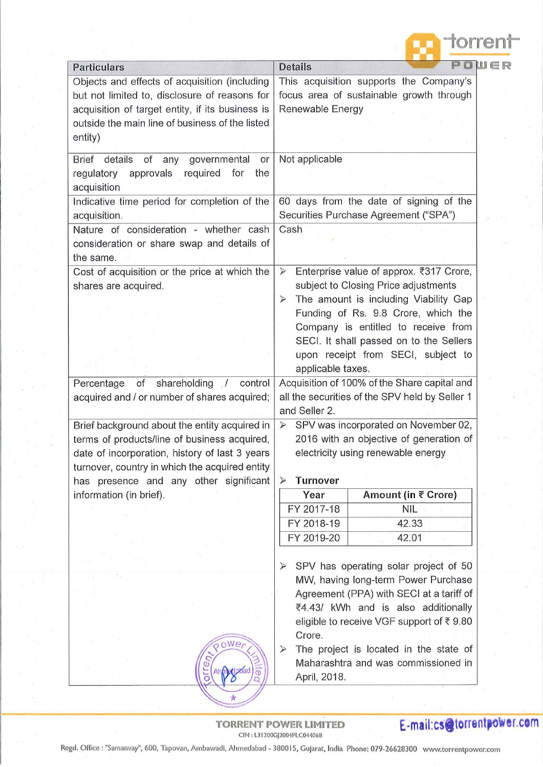| torrent                                                                                                                                                                                                                                                                                                                                                        |
|----------------------------------------------------------------------------------------------------------------------------------------------------------------------------------------------------------------------------------------------------------------------------------------------------------------------------------------------------------------|
| POWER<br><b>Details</b>                                                                                                                                                                                                                                                                                                                                        |
| This acquisition supports the Company's<br>focus area of sustainable growth through<br>Renewable Energy                                                                                                                                                                                                                                                        |
| Not applicable                                                                                                                                                                                                                                                                                                                                                 |
| 60 days from the date of signing of the<br>Securities Purchase Agreement ("SPA")                                                                                                                                                                                                                                                                               |
| Cash                                                                                                                                                                                                                                                                                                                                                           |
| Enterprise value of approx. ₹317 Crore,<br>$\prec$<br>subject to Closing Price adjustments<br>The amount is including Viability Gap<br>$\triangleright$<br>Funding of Rs. 9.8 Crore, which the<br>Company is entitled to receive from<br>SECI. It shall passed on to the Sellers<br>upon receipt from SECI, subject to<br>applicable taxes.                    |
| Acquisition of 100% of the Share capital and<br>all the securities of the SPV held by Seller 1<br>and Seller 2.                                                                                                                                                                                                                                                |
| > SPV was incorporated on November 02,<br>2016 with an objective of generation of<br>electricity using renewable energy<br><b>Turnover</b><br>⋗                                                                                                                                                                                                                |
| Year<br>Amount (in ₹ Crore)                                                                                                                                                                                                                                                                                                                                    |
| FY 2017-18<br><b>NIL</b>                                                                                                                                                                                                                                                                                                                                       |
| FY 2018-19<br>42.33                                                                                                                                                                                                                                                                                                                                            |
| FY 2019-20<br>42.01                                                                                                                                                                                                                                                                                                                                            |
| SPV has operating solar project of 50<br>$\triangleright$<br>MW, having long-term Power Purchase<br>Agreement (PPA) with SECI at a tariff of<br>₹4.43/ kWh and is also additionally<br>eligible to receive VGF support of ₹9.80<br>Crore.<br>The project is located in the state of<br>$\triangleright$<br>Maharashtra and was commissioned in<br>April, 2018. |
|                                                                                                                                                                                                                                                                                                                                                                |

TORRENT POWER LIMITED **E-mail:cs@torrentpower.com** CIN : L31200GJ2004PLC04406B

Regd. Office : "Samanvay", 600, Tapovan, Ambawadi, Ahmedabad - 380015, Gujarat, India Phone: 079-26628300 www.torrentpower.com